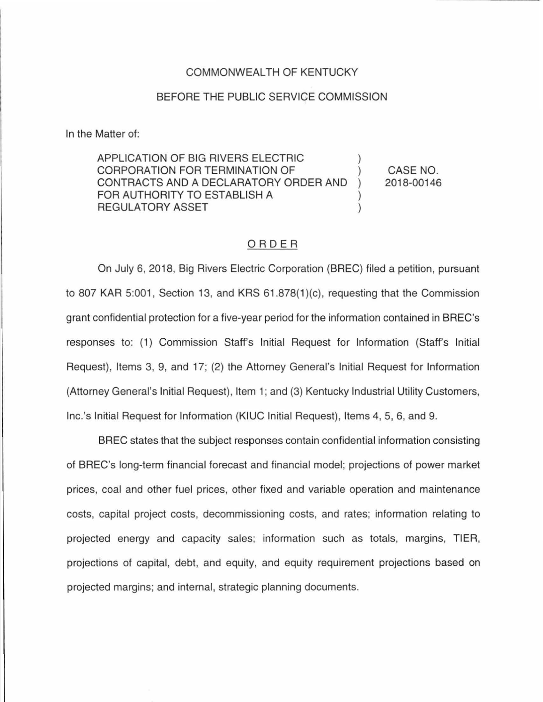## COMMONWEALTH OF KENTUCKY

## BEFORE THE PUBLIC SERVICE COMMISSION

In the Matter of:

APPLICATION OF BIG RIVERS ELECTRIC ) CORPORATION FOR TERMINATION OF ) CONTRACTS AND A DECLARATORY ORDER AND ) FOR AUTHORITY TO ESTABLISH A ) REGULATORY ASSET CASE NO. 2018-00146

## ORDER

On July 6, 2018, Big Rivers Electric Corporation (BREC) filed a petition, pursuant to 807 KAR 5:001, Section 13, and KRS 61.878(1)(c), requesting that the Commission grant confidential protection for a five-year period for the information contained in BREC's responses to: (1) Commission Staff's Initial Request for Information (Staff's Initial Request), Items 3, 9, and 17; (2) the Attorney General's Initial Request for Information (Attorney General's Initial Request), Item 1; and (3) Kentucky Industrial Utility Customers, lnc.'s Initial Request for Information (KIUC Initial Request), Items 4, 5, 6, and 9.

BREC states that the subject responses contain confidential information consisting of BREC's long-term financial forecast and financial model; projections of power market prices, coal and other fuel prices, other fixed and variable operation and maintenance costs, capital project costs, decommissioning costs, and rates; information relating to projected energy and capacity sales; information such as totals, margins, TIER, projections of capital, debt, and equity, and equity requirement projections based on projected margins; and internal, strategic planning documents.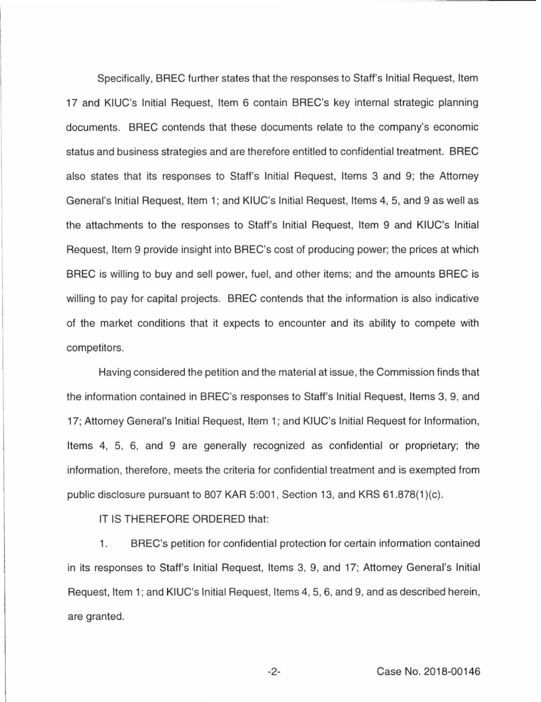Specifically, BREC further states that the responses to Staff's Initial Request, Item 17 and KIUC's Initial Request, Item 6 contain BREC's key internal strategic planning documents. BREC contends that these documents relate to the company's economic status and business strategies and are therefore entitled to confidential treatment. BREC also states that its responses to Staff's Initial Request, Items 3 and 9; the Attorney General's Initial Request, Item 1; and KIUC's Initial Request, Items 4, 5, and 9 as well as the attachments to the responses to Staff's Initial Request, Item 9 and KIUC's Initial Request, Item 9 provide insight into BREC's cost of producing power; the prices at which BREC is willing to buy and sell power, fuel, and other items; and the amounts BREC is willing to pay for capital projects. BREC contends that the information is also indicative of the market conditions that it expects to encounter and its ability to compete with competitors.

Having considered the petition and the material at issue, the Commission finds that the information contained in BREC's responses to Staff's Initial Request, Items 3, 9, and 17; Attorney General's Initial Request, Item 1; and KIUC's Initial Request for Information, Items 4, 5, 6, and 9 are generally recognized as confidential or proprietary; the information, therefore, meets the criteria for confidential treatment and is exempted from public disclosure pursuant to 807 KAR 5:001, Section 13, and KRS 61.878(1)(c).

IT IS THEREFORE ORDERED that:

1. BREC's petition for confidential protection for certain information contained in its responses to Staff's Initial Request, Items 3, 9, and 17; Attorney General's Initial Request, Item 1; and KIUC's Initial Request, Items 4, 5, 6, and 9, and as described herein, are granted.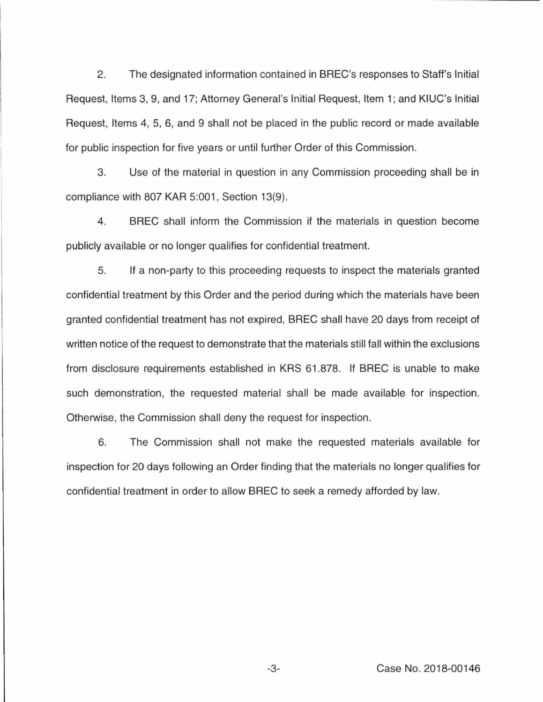2. The designated information contained in BREC's responses to Staff's Initial Request, Items 3, 9, and 17; Attorney General's Initial Request, Item 1; and KIUC's Initial Request, Items 4, 5, 6, and 9 shall not be placed in the public record or made available for public inspection for five years or until further Order of this Commission.

3. Use of the material in question in any Commission proceeding shall be in compliance with 807 KAR 5:001, Section 13(9).

4. BREC shall inform the Commission if the materials in question become publicly available or no longer qualifies for confidential treatment.

5. If a non-party to this proceeding requests to inspect the materials granted confidential treatment by this Order and the period during which the materials have been granted confidential treatment has not expired, BREC shall have 20 days from receipt of written notice of the request to demonstrate that the materials still fall within the exclusions from disclosure requirements established in KRS 61.878. If BREC is unable to make such demonstration, the requested material shall be made available for inspection. Otherwise, the Commission shall deny the request for inspection.

6. The Commission shall not make the requested materials available for inspection for 20 days following an Order finding that the materials no longer qualifies for confidential treatment in order to allow BREC to seek a remedy afforded by law.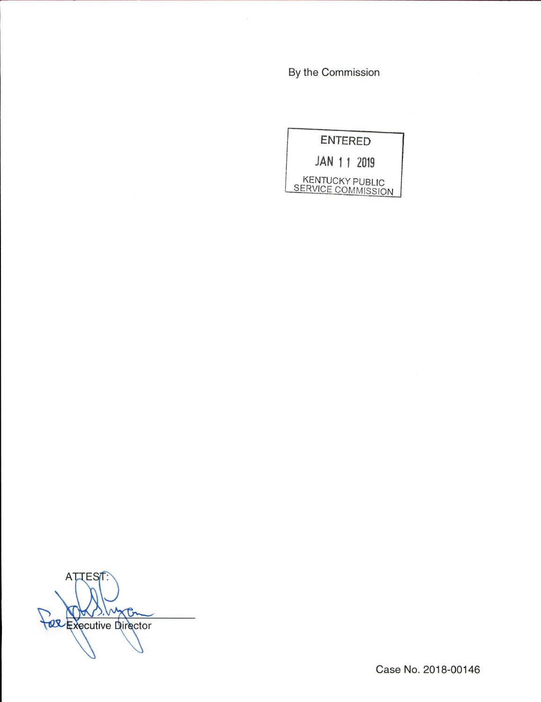By the Commission

| <b>ENTERED</b>                               |  |  |  |
|----------------------------------------------|--|--|--|
| JAN 1 1 2019                                 |  |  |  |
| <b>KENTUCKY PUBLIC</b><br>SERVICE COMMISSION |  |  |  |

ATTEST: Face Executive Director

Case No. 2018-00146